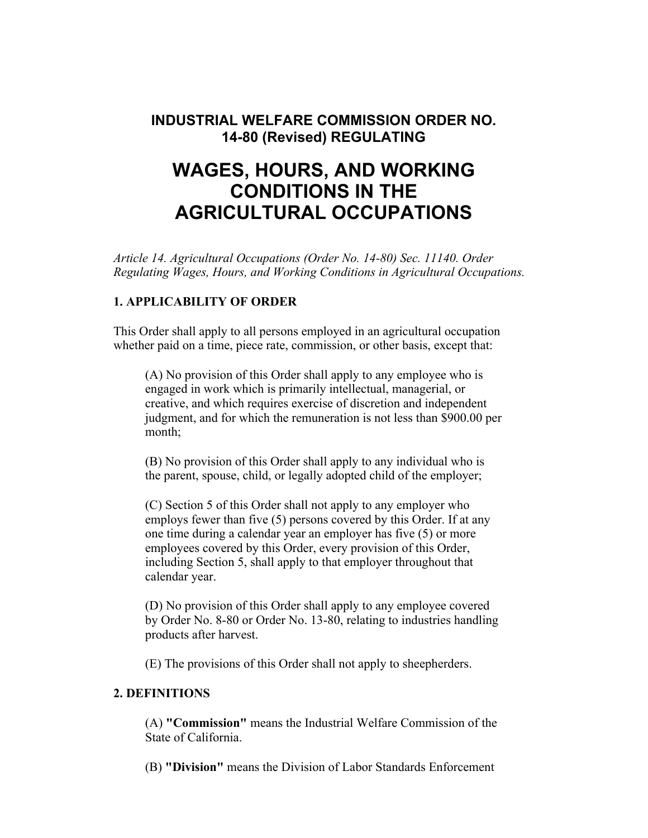## **INDUSTRIAL WELFARE COMMISSION ORDER NO. 14-80 (Revised) REGULATING**

# **WAGES, HOURS, AND WORKING CONDITIONS IN THE AGRICULTURAL OCCUPATIONS**

*Article 14. Agricultural Occupations (Order No. 14-80) Sec. 11140. Order Regulating Wages, Hours, and Working Conditions in Agricultural Occupations.* 

## **1. APPLICABILITY OF ORDER**

This Order shall apply to all persons employed in an agricultural occupation whether paid on a time, piece rate, commission, or other basis, except that:

(A) No provision of this Order shall apply to any employee who is engaged in work which is primarily intellectual, managerial, or creative, and which requires exercise of discretion and independent judgment, and for which the remuneration is not less than \$900.00 per month;

(B) No provision of this Order shall apply to any individual who is the parent, spouse, child, or legally adopted child of the employer;

(C) Section 5 of this Order shall not apply to any employer who employs fewer than five (5) persons covered by this Order. If at any one time during a calendar year an employer has five (5) or more employees covered by this Order, every provision of this Order, including Section 5, shall apply to that employer throughout that calendar year.

(D) No provision of this Order shall apply to any employee covered by Order No. 8-80 or Order No. 13-80, relating to industries handling products after harvest.

(E) The provisions of this Order shall not apply to sheepherders.

## **2. DEFINITIONS**

(A) **"Commission"** means the Industrial Welfare Commission of the State of California.

(B) **"Division"** means the Division of Labor Standards Enforcement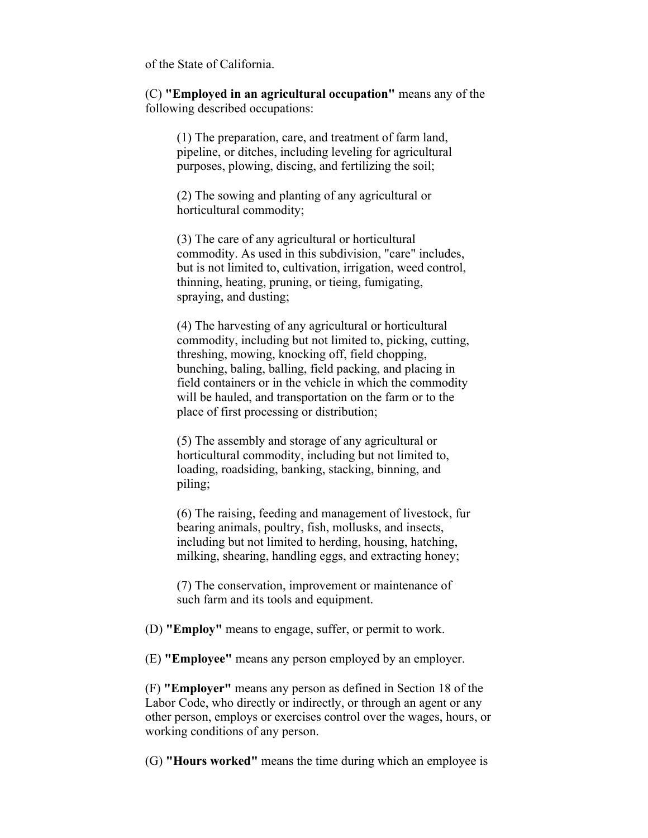of the State of California.

(C) **"Employed in an agricultural occupation"** means any of the following described occupations:

(1) The preparation, care, and treatment of farm land, pipeline, or ditches, including leveling for agricultural purposes, plowing, discing, and fertilizing the soil;

(2) The sowing and planting of any agricultural or horticultural commodity;

(3) The care of any agricultural or horticultural commodity. As used in this subdivision, "care" includes, but is not limited to, cultivation, irrigation, weed control, thinning, heating, pruning, or tieing, fumigating, spraying, and dusting;

(4) The harvesting of any agricultural or horticultural commodity, including but not limited to, picking, cutting, threshing, mowing, knocking off, field chopping, bunching, baling, balling, field packing, and placing in field containers or in the vehicle in which the commodity will be hauled, and transportation on the farm or to the place of first processing or distribution;

(5) The assembly and storage of any agricultural or horticultural commodity, including but not limited to, loading, roadsiding, banking, stacking, binning, and piling;

(6) The raising, feeding and management of livestock, fur bearing animals, poultry, fish, mollusks, and insects, including but not limited to herding, housing, hatching, milking, shearing, handling eggs, and extracting honey;

(7) The conservation, improvement or maintenance of such farm and its tools and equipment.

(D) **"Employ"** means to engage, suffer, or permit to work.

(E) **"Employee"** means any person employed by an employer.

(F) **"Employer"** means any person as defined in Section 18 of the Labor Code, who directly or indirectly, or through an agent or any other person, employs or exercises control over the wages, hours, or working conditions of any person.

(G) **"Hours worked"** means the time during which an employee is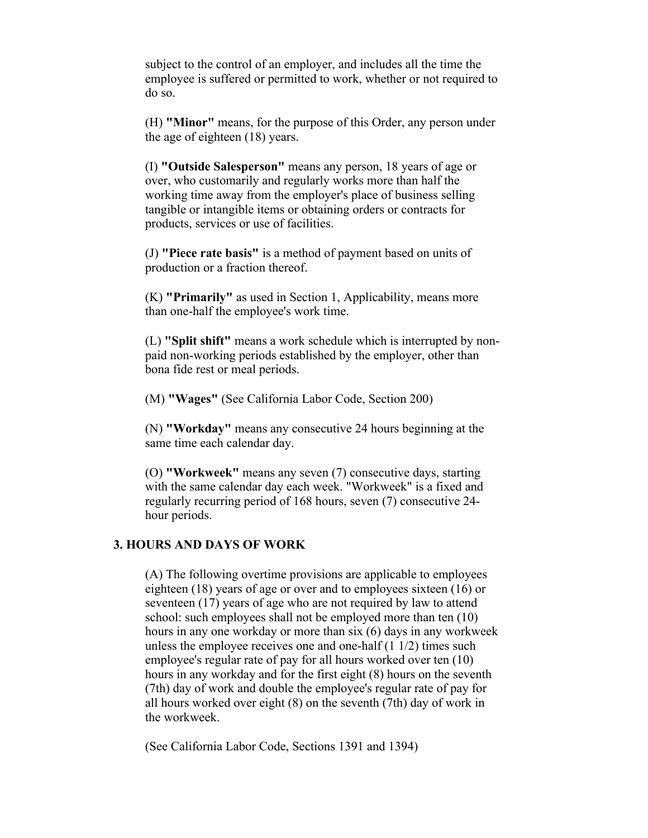subject to the control of an employer, and includes all the time the employee is suffered or permitted to work, whether or not required to do so.

(H) **"Minor"** means, for the purpose of this Order, any person under the age of eighteen (18) years.

(I) **"Outside Salesperson"** means any person, 18 years of age or over, who customarily and regularly works more than half the working time away from the employer's place of business selling tangible or intangible items or obtaining orders or contracts for products, services or use of facilities.

(J) **"Piece rate basis"** is a method of payment based on units of production or a fraction thereof.

(K) **"Primarily"** as used in Section 1, Applicability, means more than one-half the employee's work time.

(L) **"Split shift"** means a work schedule which is interrupted by nonpaid non-working periods established by the employer, other than bona fide rest or meal periods.

(M) **"Wages"** (See California Labor Code, Section 200)

(N) **"Workday"** means any consecutive 24 hours beginning at the same time each calendar day.

(O) **"Workweek"** means any seven (7) consecutive days, starting with the same calendar day each week. "Workweek" is a fixed and regularly recurring period of 168 hours, seven (7) consecutive 24 hour periods.

#### **3. HOURS AND DAYS OF WORK**

(A) The following overtime provisions are applicable to employees eighteen (18) years of age or over and to employees sixteen (16) or seventeen (17) years of age who are not required by law to attend school: such employees shall not be employed more than ten (10) hours in any one workday or more than six (6) days in any workweek unless the employee receives one and one-half (1 1/2) times such employee's regular rate of pay for all hours worked over ten (10) hours in any workday and for the first eight (8) hours on the seventh (7th) day of work and double the employee's regular rate of pay for all hours worked over eight (8) on the seventh (7th) day of work in the workweek.

(See California Labor Code, Sections 1391 and 1394)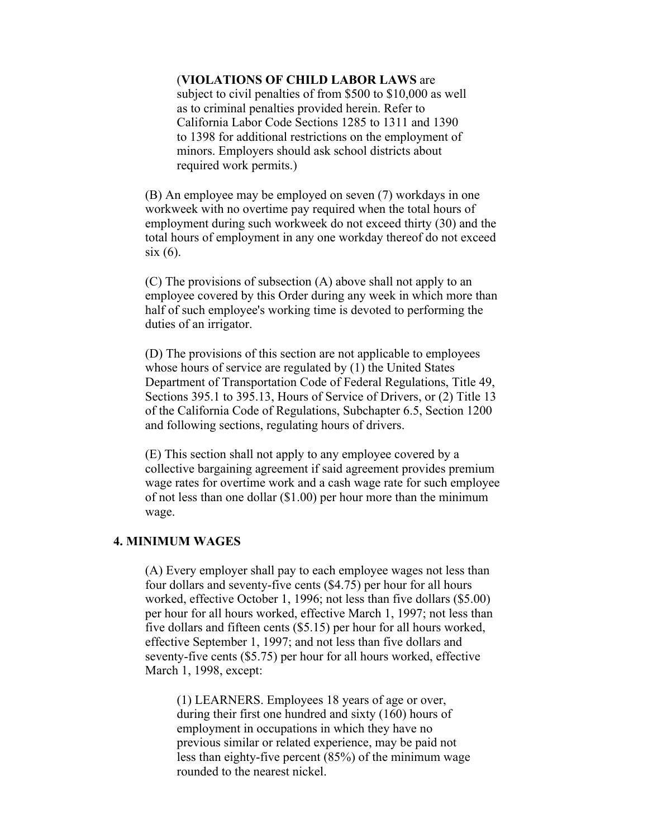#### (**VIOLATIONS OF CHILD LABOR LAWS** are

subject to civil penalties of from \$500 to \$10,000 as well as to criminal penalties provided herein. Refer to California Labor Code Sections 1285 to 1311 and 1390 to 1398 for additional restrictions on the employment of minors. Employers should ask school districts about required work permits.)

(B) An employee may be employed on seven (7) workdays in one workweek with no overtime pay required when the total hours of employment during such workweek do not exceed thirty (30) and the total hours of employment in any one workday thereof do not exceed six (6).

(C) The provisions of subsection (A) above shall not apply to an employee covered by this Order during any week in which more than half of such employee's working time is devoted to performing the duties of an irrigator.

(D) The provisions of this section are not applicable to employees whose hours of service are regulated by (1) the United States Department of Transportation Code of Federal Regulations, Title 49, Sections 395.1 to 395.13, Hours of Service of Drivers, or (2) Title 13 of the California Code of Regulations, Subchapter 6.5, Section 1200 and following sections, regulating hours of drivers.

(E) This section shall not apply to any employee covered by a collective bargaining agreement if said agreement provides premium wage rates for overtime work and a cash wage rate for such employee of not less than one dollar (\$1.00) per hour more than the minimum wage.

## **4. MINIMUM WAGES**

(A) Every employer shall pay to each employee wages not less than four dollars and seventy-five cents (\$4.75) per hour for all hours worked, effective October 1, 1996; not less than five dollars (\$5.00) per hour for all hours worked, effective March 1, 1997; not less than five dollars and fifteen cents (\$5.15) per hour for all hours worked, effective September 1, 1997; and not less than five dollars and seventy-five cents (\$5.75) per hour for all hours worked, effective March 1, 1998, except:

(1) LEARNERS. Employees 18 years of age or over, during their first one hundred and sixty (160) hours of employment in occupations in which they have no previous similar or related experience, may be paid not less than eighty-five percent (85%) of the minimum wage rounded to the nearest nickel.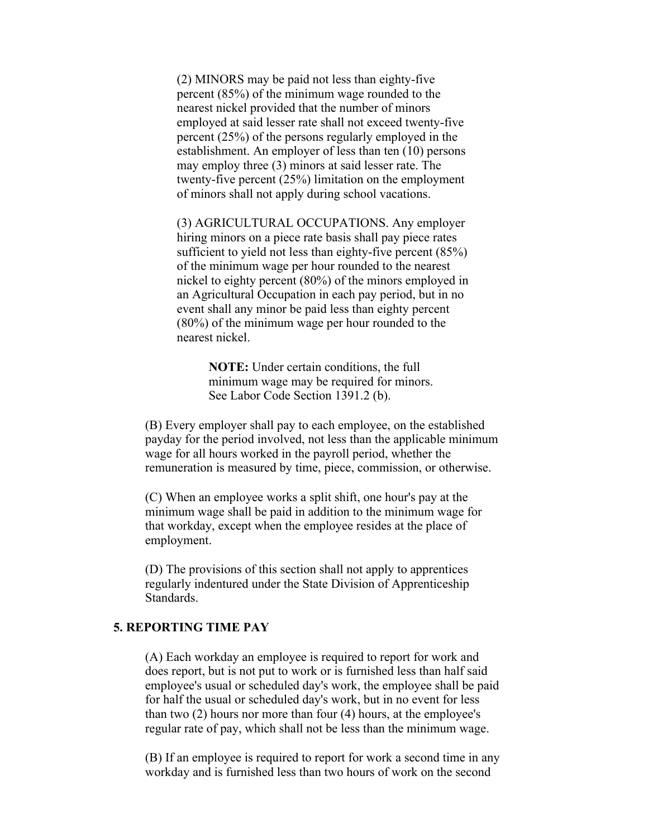(2) MINORS may be paid not less than eighty-five percent (85%) of the minimum wage rounded to the nearest nickel provided that the number of minors employed at said lesser rate shall not exceed twenty-five percent (25%) of the persons regularly employed in the establishment. An employer of less than ten (10) persons may employ three (3) minors at said lesser rate. The twenty-five percent (25%) limitation on the employment of minors shall not apply during school vacations.

(3) AGRICULTURAL OCCUPATIONS. Any employer hiring minors on a piece rate basis shall pay piece rates sufficient to yield not less than eighty-five percent (85%) of the minimum wage per hour rounded to the nearest nickel to eighty percent (80%) of the minors employed in an Agricultural Occupation in each pay period, but in no event shall any minor be paid less than eighty percent (80%) of the minimum wage per hour rounded to the nearest nickel.

> **NOTE:** Under certain conditions, the full minimum wage may be required for minors. See Labor Code Section 1391.2 (b).

(B) Every employer shall pay to each employee, on the established payday for the period involved, not less than the applicable minimum wage for all hours worked in the payroll period, whether the remuneration is measured by time, piece, commission, or otherwise.

(C) When an employee works a split shift, one hour's pay at the minimum wage shall be paid in addition to the minimum wage for that workday, except when the employee resides at the place of employment.

(D) The provisions of this section shall not apply to apprentices regularly indentured under the State Division of Apprenticeship Standards.

### **5. REPORTING TIME PAY**

(A) Each workday an employee is required to report for work and does report, but is not put to work or is furnished less than half said employee's usual or scheduled day's work, the employee shall be paid for half the usual or scheduled day's work, but in no event for less than two (2) hours nor more than four (4) hours, at the employee's regular rate of pay, which shall not be less than the minimum wage.

(B) If an employee is required to report for work a second time in any workday and is furnished less than two hours of work on the second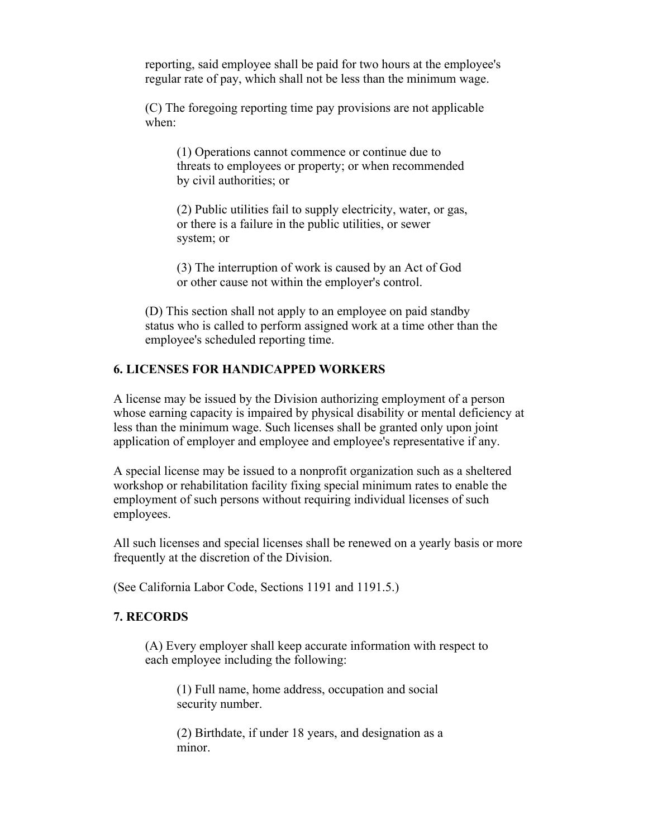reporting, said employee shall be paid for two hours at the employee's regular rate of pay, which shall not be less than the minimum wage.

(C) The foregoing reporting time pay provisions are not applicable when:

(1) Operations cannot commence or continue due to threats to employees or property; or when recommended by civil authorities; or

(2) Public utilities fail to supply electricity, water, or gas, or there is a failure in the public utilities, or sewer system; or

(3) The interruption of work is caused by an Act of God or other cause not within the employer's control.

(D) This section shall not apply to an employee on paid standby status who is called to perform assigned work at a time other than the employee's scheduled reporting time.

## **6. LICENSES FOR HANDICAPPED WORKERS**

A license may be issued by the Division authorizing employment of a person whose earning capacity is impaired by physical disability or mental deficiency at less than the minimum wage. Such licenses shall be granted only upon joint application of employer and employee and employee's representative if any.

A special license may be issued to a nonprofit organization such as a sheltered workshop or rehabilitation facility fixing special minimum rates to enable the employment of such persons without requiring individual licenses of such employees.

All such licenses and special licenses shall be renewed on a yearly basis or more frequently at the discretion of the Division.

(See California Labor Code, Sections 1191 and 1191.5.)

## **7. RECORDS**

(A) Every employer shall keep accurate information with respect to each employee including the following:

(1) Full name, home address, occupation and social security number.

(2) Birthdate, if under 18 years, and designation as a minor.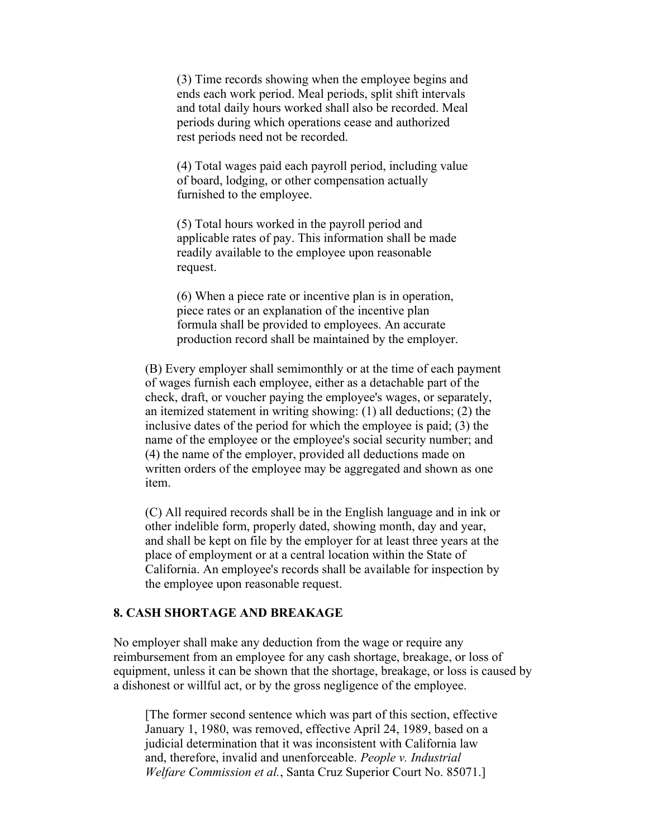(3) Time records showing when the employee begins and ends each work period. Meal periods, split shift intervals and total daily hours worked shall also be recorded. Meal periods during which operations cease and authorized rest periods need not be recorded.

(4) Total wages paid each payroll period, including value of board, lodging, or other compensation actually furnished to the employee.

(5) Total hours worked in the payroll period and applicable rates of pay. This information shall be made readily available to the employee upon reasonable request.

(6) When a piece rate or incentive plan is in operation, piece rates or an explanation of the incentive plan formula shall be provided to employees. An accurate production record shall be maintained by the employer.

(B) Every employer shall semimonthly or at the time of each payment of wages furnish each employee, either as a detachable part of the check, draft, or voucher paying the employee's wages, or separately, an itemized statement in writing showing: (1) all deductions; (2) the inclusive dates of the period for which the employee is paid; (3) the name of the employee or the employee's social security number; and (4) the name of the employer, provided all deductions made on written orders of the employee may be aggregated and shown as one item.

(C) All required records shall be in the English language and in ink or other indelible form, properly dated, showing month, day and year, and shall be kept on file by the employer for at least three years at the place of employment or at a central location within the State of California. An employee's records shall be available for inspection by the employee upon reasonable request.

#### **8. CASH SHORTAGE AND BREAKAGE**

No employer shall make any deduction from the wage or require any reimbursement from an employee for any cash shortage, breakage, or loss of equipment, unless it can be shown that the shortage, breakage, or loss is caused by a dishonest or willful act, or by the gross negligence of the employee.

[The former second sentence which was part of this section, effective January 1, 1980, was removed, effective April 24, 1989, based on a judicial determination that it was inconsistent with California law and, therefore, invalid and unenforceable. *People v. Industrial Welfare Commission et al.*, Santa Cruz Superior Court No. 85071.]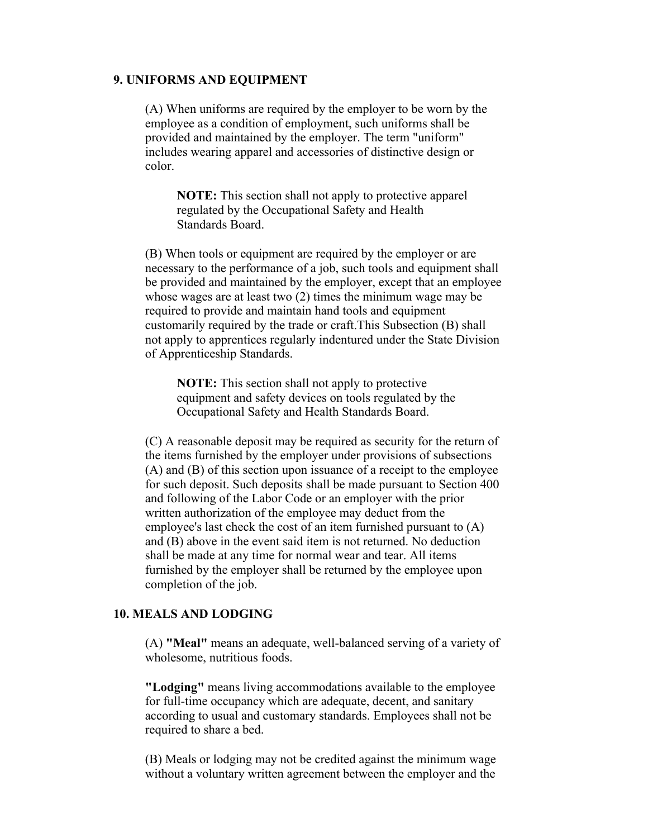#### **9. UNIFORMS AND EQUIPMENT**

(A) When uniforms are required by the employer to be worn by the employee as a condition of employment, such uniforms shall be provided and maintained by the employer. The term "uniform" includes wearing apparel and accessories of distinctive design or color.

**NOTE:** This section shall not apply to protective apparel regulated by the Occupational Safety and Health Standards Board.

(B) When tools or equipment are required by the employer or are necessary to the performance of a job, such tools and equipment shall be provided and maintained by the employer, except that an employee whose wages are at least two (2) times the minimum wage may be required to provide and maintain hand tools and equipment customarily required by the trade or craft.This Subsection (B) shall not apply to apprentices regularly indentured under the State Division of Apprenticeship Standards.

**NOTE:** This section shall not apply to protective equipment and safety devices on tools regulated by the Occupational Safety and Health Standards Board.

(C) A reasonable deposit may be required as security for the return of the items furnished by the employer under provisions of subsections (A) and (B) of this section upon issuance of a receipt to the employee for such deposit. Such deposits shall be made pursuant to Section 400 and following of the Labor Code or an employer with the prior written authorization of the employee may deduct from the employee's last check the cost of an item furnished pursuant to (A) and (B) above in the event said item is not returned. No deduction shall be made at any time for normal wear and tear. All items furnished by the employer shall be returned by the employee upon completion of the job.

#### **10. MEALS AND LODGING**

(A) **"Meal"** means an adequate, well-balanced serving of a variety of wholesome, nutritious foods.

**"Lodging"** means living accommodations available to the employee for full-time occupancy which are adequate, decent, and sanitary according to usual and customary standards. Employees shall not be required to share a bed.

(B) Meals or lodging may not be credited against the minimum wage without a voluntary written agreement between the employer and the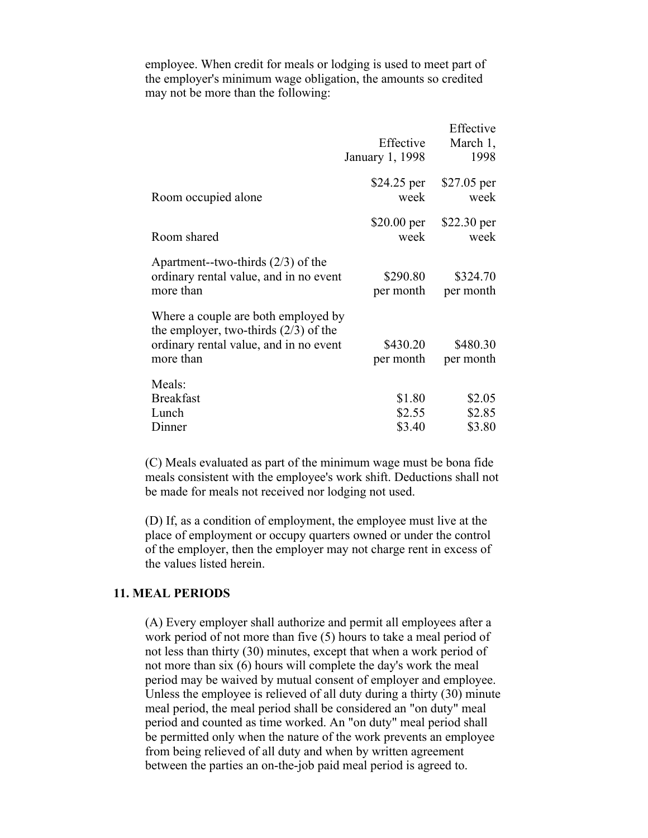employee. When credit for meals or lodging is used to meet part of the employer's minimum wage obligation, the amounts so credited may not be more than the following:

|                                                                                                                                       | Effective<br>January 1, 1998 | Effective<br>March 1,<br>1998 |
|---------------------------------------------------------------------------------------------------------------------------------------|------------------------------|-------------------------------|
| Room occupied alone                                                                                                                   | \$24.25 per<br>week          | $$27.05$ per<br>week          |
| Room shared                                                                                                                           | \$20.00 per<br>week          | \$22.30 per<br>week           |
| Apartment--two-thirds $(2/3)$ of the<br>ordinary rental value, and in no event<br>more than                                           | \$290.80<br>per month        | \$324.70<br>per month         |
| Where a couple are both employed by<br>the employer, two-thirds $(2/3)$ of the<br>ordinary rental value, and in no event<br>more than | \$430.20<br>per month        | \$480.30<br>per month         |
| Meals:<br><b>Breakfast</b><br>Lunch<br>Dinner                                                                                         | \$1.80<br>\$2.55<br>\$3.40   | \$2.05<br>\$2.85<br>\$3.80    |

(C) Meals evaluated as part of the minimum wage must be bona fide meals consistent with the employee's work shift. Deductions shall not be made for meals not received nor lodging not used.

(D) If, as a condition of employment, the employee must live at the place of employment or occupy quarters owned or under the control of the employer, then the employer may not charge rent in excess of the values listed herein.

## **11. MEAL PERIODS**

(A) Every employer shall authorize and permit all employees after a work period of not more than five (5) hours to take a meal period of not less than thirty (30) minutes, except that when a work period of not more than six (6) hours will complete the day's work the meal period may be waived by mutual consent of employer and employee. Unless the employee is relieved of all duty during a thirty (30) minute meal period, the meal period shall be considered an "on duty" meal period and counted as time worked. An "on duty" meal period shall be permitted only when the nature of the work prevents an employee from being relieved of all duty and when by written agreement between the parties an on-the-job paid meal period is agreed to.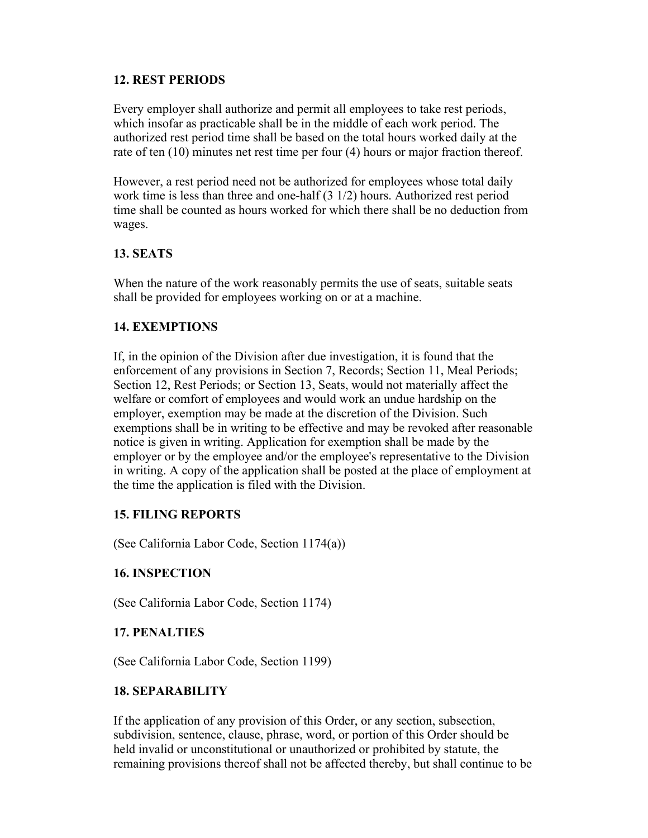## **12. REST PERIODS**

Every employer shall authorize and permit all employees to take rest periods, which insofar as practicable shall be in the middle of each work period. The authorized rest period time shall be based on the total hours worked daily at the rate of ten (10) minutes net rest time per four (4) hours or major fraction thereof.

However, a rest period need not be authorized for employees whose total daily work time is less than three and one-half (3 1/2) hours. Authorized rest period time shall be counted as hours worked for which there shall be no deduction from wages.

## **13. SEATS**

When the nature of the work reasonably permits the use of seats, suitable seats shall be provided for employees working on or at a machine.

## **14. EXEMPTIONS**

If, in the opinion of the Division after due investigation, it is found that the enforcement of any provisions in Section 7, Records; Section 11, Meal Periods; Section 12, Rest Periods; or Section 13, Seats, would not materially affect the welfare or comfort of employees and would work an undue hardship on the employer, exemption may be made at the discretion of the Division. Such exemptions shall be in writing to be effective and may be revoked after reasonable notice is given in writing. Application for exemption shall be made by the employer or by the employee and/or the employee's representative to the Division in writing. A copy of the application shall be posted at the place of employment at the time the application is filed with the Division.

## **15. FILING REPORTS**

(See California Labor Code, Section 1174(a))

## **16. INSPECTION**

(See California Labor Code, Section 1174)

## **17. PENALTIES**

(See California Labor Code, Section 1199)

## **18. SEPARABILITY**

If the application of any provision of this Order, or any section, subsection, subdivision, sentence, clause, phrase, word, or portion of this Order should be held invalid or unconstitutional or unauthorized or prohibited by statute, the remaining provisions thereof shall not be affected thereby, but shall continue to be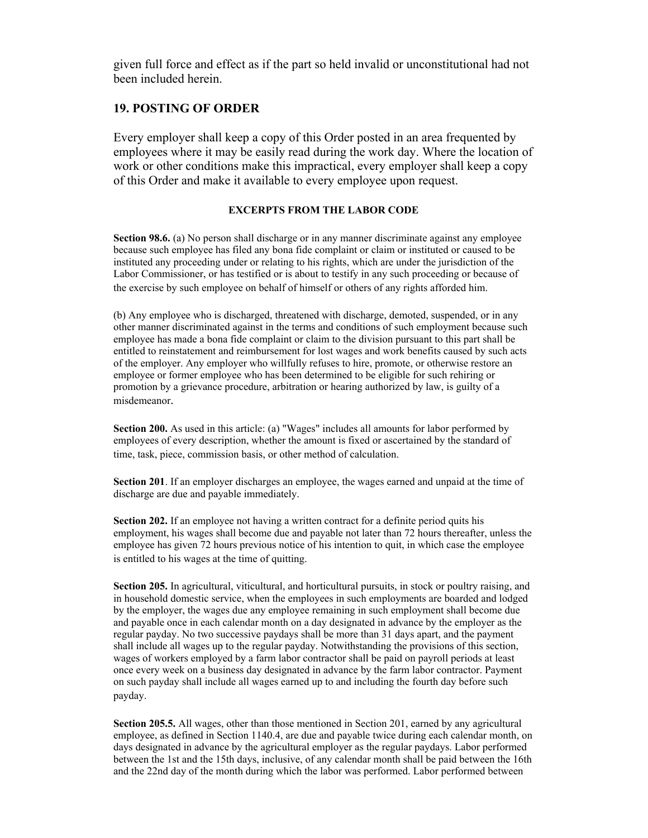given full force and effect as if the part so held invalid or unconstitutional had not been included herein.

#### **19. POSTING OF ORDER**

Every employer shall keep a copy of this Order posted in an area frequented by employees where it may be easily read during the work day. Where the location of work or other conditions make this impractical, every employer shall keep a copy of this Order and make it available to every employee upon request.

#### **EXCERPTS FROM THE LABOR CODE**

**Section 98.6.** (a) No person shall discharge or in any manner discriminate against any employee because such employee has filed any bona fide complaint or claim or instituted or caused to be instituted any proceeding under or relating to his rights, which are under the jurisdiction of the Labor Commissioner, or has testified or is about to testify in any such proceeding or because of the exercise by such employee on behalf of himself or others of any rights afforded him.

(b) Any employee who is discharged, threatened with discharge, demoted, suspended, or in any other manner discriminated against in the terms and conditions of such employment because such employee has made a bona fide complaint or claim to the division pursuant to this part shall be entitled to reinstatement and reimbursement for lost wages and work benefits caused by such acts of the employer. Any employer who willfully refuses to hire, promote, or otherwise restore an employee or former employee who has been determined to be eligible for such rehiring or promotion by a grievance procedure, arbitration or hearing authorized by law, is guilty of a misdemeanor.

**Section 200.** As used in this article: (a) "Wages" includes all amounts for labor performed by employees of every description, whether the amount is fixed or ascertained by the standard of time, task, piece, commission basis, or other method of calculation.

**Section 201**. If an employer discharges an employee, the wages earned and unpaid at the time of discharge are due and payable immediately.

**Section 202.** If an employee not having a written contract for a definite period quits his employment, his wages shall become due and payable not later than 72 hours thereafter, unless the employee has given 72 hours previous notice of his intention to quit, in which case the employee is entitled to his wages at the time of quitting.

**Section 205.** In agricultural, viticultural, and horticultural pursuits, in stock or poultry raising, and in household domestic service, when the employees in such employments are boarded and lodged by the employer, the wages due any employee remaining in such employment shall become due and payable once in each calendar month on a day designated in advance by the employer as the regular payday. No two successive paydays shall be more than 31 days apart, and the payment shall include all wages up to the regular payday. Notwithstanding the provisions of this section, wages of workers employed by a farm labor contractor shall be paid on payroll periods at least once every week on a business day designated in advance by the farm labor contractor. Payment on such payday shall include all wages earned up to and including the fourth day before such payday.

**Section 205.5.** All wages, other than those mentioned in Section 201, earned by any agricultural employee, as defined in Section 1140.4, are due and payable twice during each calendar month, on days designated in advance by the agricultural employer as the regular paydays. Labor performed between the 1st and the 15th days, inclusive, of any calendar month shall be paid between the 16th and the 22nd day of the month during which the labor was performed. Labor performed between